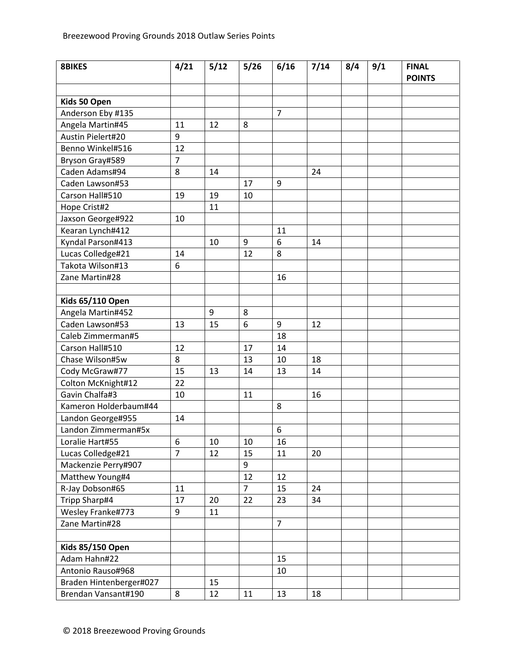| <b>8BIKES</b>           | 4/21           | 5/12 | 5/26           | 6/16           | 7/14 | 8/4 | 9/1 | <b>FINAL</b><br><b>POINTS</b> |
|-------------------------|----------------|------|----------------|----------------|------|-----|-----|-------------------------------|
|                         |                |      |                |                |      |     |     |                               |
| Kids 50 Open            |                |      |                |                |      |     |     |                               |
| Anderson Eby #135       |                |      |                | $\overline{7}$ |      |     |     |                               |
| Angela Martin#45        | 11             | 12   | 8              |                |      |     |     |                               |
| Austin Pielert#20       | 9              |      |                |                |      |     |     |                               |
| Benno Winkel#516        | 12             |      |                |                |      |     |     |                               |
| Bryson Gray#589         | $\overline{7}$ |      |                |                |      |     |     |                               |
| Caden Adams#94          | 8              | 14   |                |                | 24   |     |     |                               |
| Caden Lawson#53         |                |      | 17             | 9              |      |     |     |                               |
| Carson Hall#510         | 19             | 19   | 10             |                |      |     |     |                               |
| Hope Crist#2            |                | 11   |                |                |      |     |     |                               |
| Jaxson George#922       | 10             |      |                |                |      |     |     |                               |
| Kearan Lynch#412        |                |      |                | 11             |      |     |     |                               |
| Kyndal Parson#413       |                | 10   | 9              | 6              | 14   |     |     |                               |
| Lucas Colledge#21       | 14             |      | 12             | 8              |      |     |     |                               |
| Takota Wilson#13        | 6              |      |                |                |      |     |     |                               |
| Zane Martin#28          |                |      |                | 16             |      |     |     |                               |
|                         |                |      |                |                |      |     |     |                               |
| <b>Kids 65/110 Open</b> |                |      |                |                |      |     |     |                               |
| Angela Martin#452       |                | 9    | 8              |                |      |     |     |                               |
| Caden Lawson#53         | 13             | 15   | 6              | 9              | 12   |     |     |                               |
| Caleb Zimmerman#5       |                |      |                | 18             |      |     |     |                               |
| Carson Hall#510         | 12             |      | 17             | 14             |      |     |     |                               |
| Chase Wilson#5w         | 8              |      | 13             | 10             | 18   |     |     |                               |
| Cody McGraw#77          | 15             | 13   | 14             | 13             | 14   |     |     |                               |
| Colton McKnight#12      | 22             |      |                |                |      |     |     |                               |
| Gavin Chalfa#3          | 10             |      | 11             |                | 16   |     |     |                               |
| Kameron Holderbaum#44   |                |      |                | 8              |      |     |     |                               |
| Landon George#955       | 14             |      |                |                |      |     |     |                               |
| Landon Zimmerman#5x     |                |      |                | 6              |      |     |     |                               |
| Loralie Hart#55         | 6              | 10   | 10             | 16             |      |     |     |                               |
| Lucas Colledge#21       | $\overline{7}$ | 12   | 15             | 11             | 20   |     |     |                               |
| Mackenzie Perry#907     |                |      | 9              |                |      |     |     |                               |
| Matthew Young#4         |                |      | 12             | 12             |      |     |     |                               |
| R-Jay Dobson#65         | 11             |      | $\overline{7}$ | 15             | 24   |     |     |                               |
| Tripp Sharp#4           | 17             | 20   | 22             | 23             | 34   |     |     |                               |
| Wesley Franke#773       | 9              | 11   |                |                |      |     |     |                               |
| Zane Martin#28          |                |      |                | $\overline{7}$ |      |     |     |                               |
|                         |                |      |                |                |      |     |     |                               |
| <b>Kids 85/150 Open</b> |                |      |                |                |      |     |     |                               |
| Adam Hahn#22            |                |      |                | 15             |      |     |     |                               |
| Antonio Rauso#968       |                |      |                | 10             |      |     |     |                               |
| Braden Hintenberger#027 |                | 15   |                |                |      |     |     |                               |
| Brendan Vansant#190     | 8              | 12   | 11             | 13             | 18   |     |     |                               |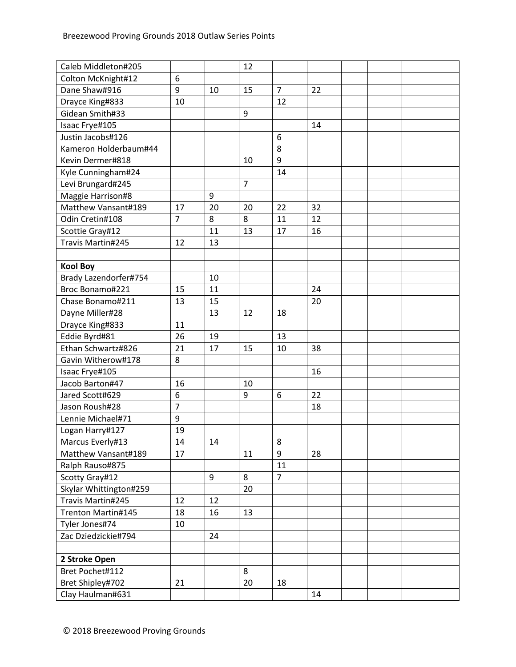| Colton McKnight#12<br>6<br>$\overline{7}$<br>Dane Shaw#916<br>9<br>15<br>22<br>10<br>Drayce King#833<br>12<br>10<br>Gidean Smith#33<br>9<br>Isaac Frye#105<br>14<br>Justin Jacobs#126<br>6<br>Kameron Holderbaum#44<br>8<br>9<br>Kevin Dermer#818<br>10<br>Kyle Cunningham#24<br>14<br>$\overline{7}$<br>Levi Brungard#245<br>9<br>Maggie Harrison#8<br>Matthew Vansant#189<br>17<br>20<br>22<br>32<br>20<br>Odin Cretin#108<br>$\overline{7}$<br>8<br>8<br>11<br>12<br>11<br>Scottie Gray#12<br>13<br>17<br>16<br>Travis Martin#245<br>12<br>13<br><b>Kool Boy</b><br>Brady Lazendorfer#754<br>10<br>Broc Bonamo#221<br>15<br>11<br>24<br>Chase Bonamo#211<br>13<br>15<br>20<br>Dayne Miller#28<br>13<br>12<br>18<br>Drayce King#833<br>11<br>Eddie Byrd#81<br>26<br>19<br>13<br>Ethan Schwartz#826<br>17<br>21<br>15<br>10<br>38<br>Gavin Witherow#178<br>8<br>16<br>Isaac Frye#105<br>Jacob Barton#47<br>16<br>10<br>$\boldsymbol{6}$<br>9<br>22<br>Jared Scott#629<br>6<br>$\overline{7}$<br>Jason Roush#28<br>18<br>9<br>Lennie Michael#71<br>19<br>Logan Harry#127<br>Marcus Everly#13<br>14<br>14<br>8<br>9<br>17<br>Matthew Vansant#189<br>11<br>28<br>Ralph Rauso#875<br>11<br>9<br>$\overline{7}$<br>8<br>Scotty Gray#12<br>Skylar Whittington#259<br>20<br>Travis Martin#245<br>12<br>12<br>Trenton Martin#145<br>18<br>13<br>16<br>10<br>Tyler Jones#74<br>Zac Dziedzickie#794<br>24<br>2 Stroke Open<br>Bret Pochet#112<br>8<br>Bret Shipley#702<br>21<br>20<br>18 | Caleb Middleton#205 |  | 12 |    |  |  |
|---------------------------------------------------------------------------------------------------------------------------------------------------------------------------------------------------------------------------------------------------------------------------------------------------------------------------------------------------------------------------------------------------------------------------------------------------------------------------------------------------------------------------------------------------------------------------------------------------------------------------------------------------------------------------------------------------------------------------------------------------------------------------------------------------------------------------------------------------------------------------------------------------------------------------------------------------------------------------------------------------------------------------------------------------------------------------------------------------------------------------------------------------------------------------------------------------------------------------------------------------------------------------------------------------------------------------------------------------------------------------------------------------------------------------------------------------------------------------------|---------------------|--|----|----|--|--|
|                                                                                                                                                                                                                                                                                                                                                                                                                                                                                                                                                                                                                                                                                                                                                                                                                                                                                                                                                                                                                                                                                                                                                                                                                                                                                                                                                                                                                                                                                 |                     |  |    |    |  |  |
|                                                                                                                                                                                                                                                                                                                                                                                                                                                                                                                                                                                                                                                                                                                                                                                                                                                                                                                                                                                                                                                                                                                                                                                                                                                                                                                                                                                                                                                                                 |                     |  |    |    |  |  |
|                                                                                                                                                                                                                                                                                                                                                                                                                                                                                                                                                                                                                                                                                                                                                                                                                                                                                                                                                                                                                                                                                                                                                                                                                                                                                                                                                                                                                                                                                 |                     |  |    |    |  |  |
|                                                                                                                                                                                                                                                                                                                                                                                                                                                                                                                                                                                                                                                                                                                                                                                                                                                                                                                                                                                                                                                                                                                                                                                                                                                                                                                                                                                                                                                                                 |                     |  |    |    |  |  |
|                                                                                                                                                                                                                                                                                                                                                                                                                                                                                                                                                                                                                                                                                                                                                                                                                                                                                                                                                                                                                                                                                                                                                                                                                                                                                                                                                                                                                                                                                 |                     |  |    |    |  |  |
|                                                                                                                                                                                                                                                                                                                                                                                                                                                                                                                                                                                                                                                                                                                                                                                                                                                                                                                                                                                                                                                                                                                                                                                                                                                                                                                                                                                                                                                                                 |                     |  |    |    |  |  |
|                                                                                                                                                                                                                                                                                                                                                                                                                                                                                                                                                                                                                                                                                                                                                                                                                                                                                                                                                                                                                                                                                                                                                                                                                                                                                                                                                                                                                                                                                 |                     |  |    |    |  |  |
|                                                                                                                                                                                                                                                                                                                                                                                                                                                                                                                                                                                                                                                                                                                                                                                                                                                                                                                                                                                                                                                                                                                                                                                                                                                                                                                                                                                                                                                                                 |                     |  |    |    |  |  |
|                                                                                                                                                                                                                                                                                                                                                                                                                                                                                                                                                                                                                                                                                                                                                                                                                                                                                                                                                                                                                                                                                                                                                                                                                                                                                                                                                                                                                                                                                 |                     |  |    |    |  |  |
|                                                                                                                                                                                                                                                                                                                                                                                                                                                                                                                                                                                                                                                                                                                                                                                                                                                                                                                                                                                                                                                                                                                                                                                                                                                                                                                                                                                                                                                                                 |                     |  |    |    |  |  |
|                                                                                                                                                                                                                                                                                                                                                                                                                                                                                                                                                                                                                                                                                                                                                                                                                                                                                                                                                                                                                                                                                                                                                                                                                                                                                                                                                                                                                                                                                 |                     |  |    |    |  |  |
|                                                                                                                                                                                                                                                                                                                                                                                                                                                                                                                                                                                                                                                                                                                                                                                                                                                                                                                                                                                                                                                                                                                                                                                                                                                                                                                                                                                                                                                                                 |                     |  |    |    |  |  |
|                                                                                                                                                                                                                                                                                                                                                                                                                                                                                                                                                                                                                                                                                                                                                                                                                                                                                                                                                                                                                                                                                                                                                                                                                                                                                                                                                                                                                                                                                 |                     |  |    |    |  |  |
|                                                                                                                                                                                                                                                                                                                                                                                                                                                                                                                                                                                                                                                                                                                                                                                                                                                                                                                                                                                                                                                                                                                                                                                                                                                                                                                                                                                                                                                                                 |                     |  |    |    |  |  |
|                                                                                                                                                                                                                                                                                                                                                                                                                                                                                                                                                                                                                                                                                                                                                                                                                                                                                                                                                                                                                                                                                                                                                                                                                                                                                                                                                                                                                                                                                 |                     |  |    |    |  |  |
|                                                                                                                                                                                                                                                                                                                                                                                                                                                                                                                                                                                                                                                                                                                                                                                                                                                                                                                                                                                                                                                                                                                                                                                                                                                                                                                                                                                                                                                                                 |                     |  |    |    |  |  |
|                                                                                                                                                                                                                                                                                                                                                                                                                                                                                                                                                                                                                                                                                                                                                                                                                                                                                                                                                                                                                                                                                                                                                                                                                                                                                                                                                                                                                                                                                 |                     |  |    |    |  |  |
|                                                                                                                                                                                                                                                                                                                                                                                                                                                                                                                                                                                                                                                                                                                                                                                                                                                                                                                                                                                                                                                                                                                                                                                                                                                                                                                                                                                                                                                                                 |                     |  |    |    |  |  |
|                                                                                                                                                                                                                                                                                                                                                                                                                                                                                                                                                                                                                                                                                                                                                                                                                                                                                                                                                                                                                                                                                                                                                                                                                                                                                                                                                                                                                                                                                 |                     |  |    |    |  |  |
|                                                                                                                                                                                                                                                                                                                                                                                                                                                                                                                                                                                                                                                                                                                                                                                                                                                                                                                                                                                                                                                                                                                                                                                                                                                                                                                                                                                                                                                                                 |                     |  |    |    |  |  |
|                                                                                                                                                                                                                                                                                                                                                                                                                                                                                                                                                                                                                                                                                                                                                                                                                                                                                                                                                                                                                                                                                                                                                                                                                                                                                                                                                                                                                                                                                 |                     |  |    |    |  |  |
|                                                                                                                                                                                                                                                                                                                                                                                                                                                                                                                                                                                                                                                                                                                                                                                                                                                                                                                                                                                                                                                                                                                                                                                                                                                                                                                                                                                                                                                                                 |                     |  |    |    |  |  |
|                                                                                                                                                                                                                                                                                                                                                                                                                                                                                                                                                                                                                                                                                                                                                                                                                                                                                                                                                                                                                                                                                                                                                                                                                                                                                                                                                                                                                                                                                 |                     |  |    |    |  |  |
|                                                                                                                                                                                                                                                                                                                                                                                                                                                                                                                                                                                                                                                                                                                                                                                                                                                                                                                                                                                                                                                                                                                                                                                                                                                                                                                                                                                                                                                                                 |                     |  |    |    |  |  |
|                                                                                                                                                                                                                                                                                                                                                                                                                                                                                                                                                                                                                                                                                                                                                                                                                                                                                                                                                                                                                                                                                                                                                                                                                                                                                                                                                                                                                                                                                 |                     |  |    |    |  |  |
|                                                                                                                                                                                                                                                                                                                                                                                                                                                                                                                                                                                                                                                                                                                                                                                                                                                                                                                                                                                                                                                                                                                                                                                                                                                                                                                                                                                                                                                                                 |                     |  |    |    |  |  |
|                                                                                                                                                                                                                                                                                                                                                                                                                                                                                                                                                                                                                                                                                                                                                                                                                                                                                                                                                                                                                                                                                                                                                                                                                                                                                                                                                                                                                                                                                 |                     |  |    |    |  |  |
|                                                                                                                                                                                                                                                                                                                                                                                                                                                                                                                                                                                                                                                                                                                                                                                                                                                                                                                                                                                                                                                                                                                                                                                                                                                                                                                                                                                                                                                                                 |                     |  |    |    |  |  |
|                                                                                                                                                                                                                                                                                                                                                                                                                                                                                                                                                                                                                                                                                                                                                                                                                                                                                                                                                                                                                                                                                                                                                                                                                                                                                                                                                                                                                                                                                 |                     |  |    |    |  |  |
|                                                                                                                                                                                                                                                                                                                                                                                                                                                                                                                                                                                                                                                                                                                                                                                                                                                                                                                                                                                                                                                                                                                                                                                                                                                                                                                                                                                                                                                                                 |                     |  |    |    |  |  |
|                                                                                                                                                                                                                                                                                                                                                                                                                                                                                                                                                                                                                                                                                                                                                                                                                                                                                                                                                                                                                                                                                                                                                                                                                                                                                                                                                                                                                                                                                 |                     |  |    |    |  |  |
|                                                                                                                                                                                                                                                                                                                                                                                                                                                                                                                                                                                                                                                                                                                                                                                                                                                                                                                                                                                                                                                                                                                                                                                                                                                                                                                                                                                                                                                                                 |                     |  |    |    |  |  |
|                                                                                                                                                                                                                                                                                                                                                                                                                                                                                                                                                                                                                                                                                                                                                                                                                                                                                                                                                                                                                                                                                                                                                                                                                                                                                                                                                                                                                                                                                 |                     |  |    |    |  |  |
|                                                                                                                                                                                                                                                                                                                                                                                                                                                                                                                                                                                                                                                                                                                                                                                                                                                                                                                                                                                                                                                                                                                                                                                                                                                                                                                                                                                                                                                                                 |                     |  |    |    |  |  |
|                                                                                                                                                                                                                                                                                                                                                                                                                                                                                                                                                                                                                                                                                                                                                                                                                                                                                                                                                                                                                                                                                                                                                                                                                                                                                                                                                                                                                                                                                 |                     |  |    |    |  |  |
|                                                                                                                                                                                                                                                                                                                                                                                                                                                                                                                                                                                                                                                                                                                                                                                                                                                                                                                                                                                                                                                                                                                                                                                                                                                                                                                                                                                                                                                                                 |                     |  |    |    |  |  |
|                                                                                                                                                                                                                                                                                                                                                                                                                                                                                                                                                                                                                                                                                                                                                                                                                                                                                                                                                                                                                                                                                                                                                                                                                                                                                                                                                                                                                                                                                 |                     |  |    |    |  |  |
|                                                                                                                                                                                                                                                                                                                                                                                                                                                                                                                                                                                                                                                                                                                                                                                                                                                                                                                                                                                                                                                                                                                                                                                                                                                                                                                                                                                                                                                                                 |                     |  |    |    |  |  |
|                                                                                                                                                                                                                                                                                                                                                                                                                                                                                                                                                                                                                                                                                                                                                                                                                                                                                                                                                                                                                                                                                                                                                                                                                                                                                                                                                                                                                                                                                 |                     |  |    |    |  |  |
|                                                                                                                                                                                                                                                                                                                                                                                                                                                                                                                                                                                                                                                                                                                                                                                                                                                                                                                                                                                                                                                                                                                                                                                                                                                                                                                                                                                                                                                                                 |                     |  |    |    |  |  |
|                                                                                                                                                                                                                                                                                                                                                                                                                                                                                                                                                                                                                                                                                                                                                                                                                                                                                                                                                                                                                                                                                                                                                                                                                                                                                                                                                                                                                                                                                 |                     |  |    |    |  |  |
|                                                                                                                                                                                                                                                                                                                                                                                                                                                                                                                                                                                                                                                                                                                                                                                                                                                                                                                                                                                                                                                                                                                                                                                                                                                                                                                                                                                                                                                                                 |                     |  |    |    |  |  |
|                                                                                                                                                                                                                                                                                                                                                                                                                                                                                                                                                                                                                                                                                                                                                                                                                                                                                                                                                                                                                                                                                                                                                                                                                                                                                                                                                                                                                                                                                 |                     |  |    |    |  |  |
|                                                                                                                                                                                                                                                                                                                                                                                                                                                                                                                                                                                                                                                                                                                                                                                                                                                                                                                                                                                                                                                                                                                                                                                                                                                                                                                                                                                                                                                                                 |                     |  |    |    |  |  |
|                                                                                                                                                                                                                                                                                                                                                                                                                                                                                                                                                                                                                                                                                                                                                                                                                                                                                                                                                                                                                                                                                                                                                                                                                                                                                                                                                                                                                                                                                 | Clay Haulman#631    |  |    | 14 |  |  |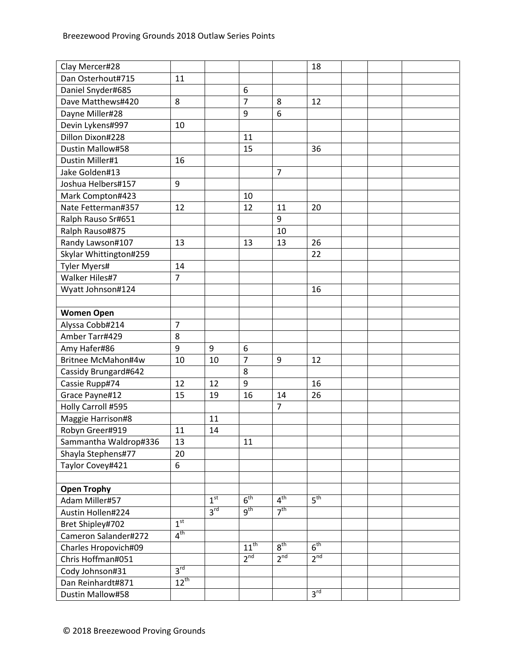| Clay Mercer#28         |                 |                 |                 |                 | 18              |  |  |
|------------------------|-----------------|-----------------|-----------------|-----------------|-----------------|--|--|
| Dan Osterhout#715      | 11              |                 |                 |                 |                 |  |  |
| Daniel Snyder#685      |                 |                 | 6               |                 |                 |  |  |
| Dave Matthews#420      | 8               |                 | $\overline{7}$  | 8               | 12              |  |  |
| Dayne Miller#28        |                 |                 | 9               | 6               |                 |  |  |
| Devin Lykens#997       | 10              |                 |                 |                 |                 |  |  |
| Dillon Dixon#228       |                 |                 | 11              |                 |                 |  |  |
| Dustin Mallow#58       |                 |                 | 15              |                 | 36              |  |  |
| Dustin Miller#1        | 16              |                 |                 |                 |                 |  |  |
| Jake Golden#13         |                 |                 |                 | $\overline{7}$  |                 |  |  |
| Joshua Helbers#157     | 9               |                 |                 |                 |                 |  |  |
| Mark Compton#423       |                 |                 | 10              |                 |                 |  |  |
| Nate Fetterman#357     | 12              |                 | 12              | 11              | 20              |  |  |
| Ralph Rauso Sr#651     |                 |                 |                 | 9               |                 |  |  |
| Ralph Rauso#875        |                 |                 |                 | 10              |                 |  |  |
| Randy Lawson#107       | 13              |                 | 13              | 13              | 26              |  |  |
| Skylar Whittington#259 |                 |                 |                 |                 | 22              |  |  |
| Tyler Myers#           | 14              |                 |                 |                 |                 |  |  |
| Walker Hiles#7         | $\overline{7}$  |                 |                 |                 |                 |  |  |
| Wyatt Johnson#124      |                 |                 |                 |                 | 16              |  |  |
|                        |                 |                 |                 |                 |                 |  |  |
| <b>Women Open</b>      |                 |                 |                 |                 |                 |  |  |
| Alyssa Cobb#214        | $\overline{7}$  |                 |                 |                 |                 |  |  |
| Amber Tarr#429         | 8               |                 |                 |                 |                 |  |  |
| Amy Hafer#86           | 9               | 9               | 6               |                 |                 |  |  |
| Britnee McMahon#4w     | 10              | 10              | $\overline{7}$  | 9               | 12              |  |  |
| Cassidy Brungard#642   |                 |                 | 8               |                 |                 |  |  |
| Cassie Rupp#74         | 12              | 12              | 9               |                 | 16              |  |  |
| Grace Payne#12         | 15              | 19              | 16              | 14              | 26              |  |  |
| Holly Carroll #595     |                 |                 |                 | $\overline{7}$  |                 |  |  |
| Maggie Harrison#8      |                 | 11              |                 |                 |                 |  |  |
| Robyn Greer#919        | 11              | 14              |                 |                 |                 |  |  |
| Sammantha Waldrop#336  | 13              |                 | 11              |                 |                 |  |  |
| Shayla Stephens#77     | 20              |                 |                 |                 |                 |  |  |
| Taylor Covey#421       | 6               |                 |                 |                 |                 |  |  |
|                        |                 |                 |                 |                 |                 |  |  |
| <b>Open Trophy</b>     |                 |                 |                 |                 |                 |  |  |
| Adam Miller#57         |                 | 1 <sup>st</sup> | 6 <sup>th</sup> | 4 <sup>th</sup> | 5 <sup>th</sup> |  |  |
| Austin Hollen#224      |                 | 3 <sup>rd</sup> | 9 <sup>th</sup> | 7 <sup>th</sup> |                 |  |  |
| Bret Shipley#702       | 1 <sup>st</sup> |                 |                 |                 |                 |  |  |
| Cameron Salander#272   | 4 <sup>th</sup> |                 |                 |                 |                 |  |  |
| Charles Hropovich#09   |                 |                 | $11^{th}$       | $8^{\text{th}}$ | $6^{\text{th}}$ |  |  |
| Chris Hoffman#051      |                 |                 | $2^{nd}$        | $2^{nd}$        | $2^{nd}$        |  |  |
| Cody Johnson#31        | 3 <sup>rd</sup> |                 |                 |                 |                 |  |  |
| Dan Reinhardt#871      | $12^{th}$       |                 |                 |                 |                 |  |  |
| Dustin Mallow#58       |                 |                 |                 |                 | 3 <sup>rd</sup> |  |  |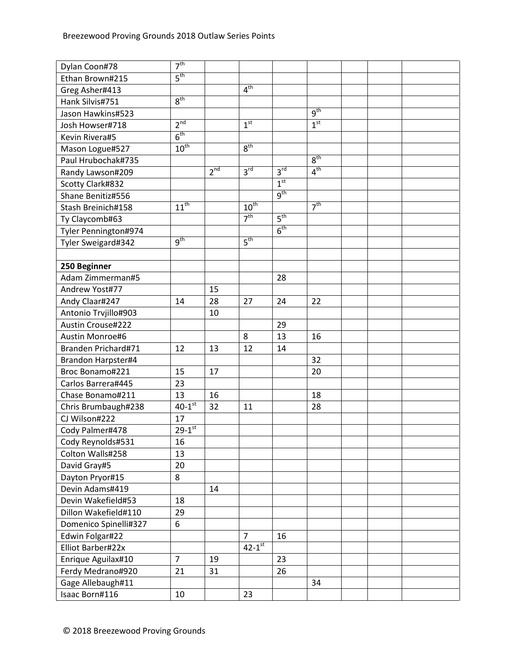| Dylan Coon#78         | 7 <sup>th</sup>      |                 |                      |                            |                 |  |  |
|-----------------------|----------------------|-----------------|----------------------|----------------------------|-----------------|--|--|
| Ethan Brown#215       | 5 <sup>th</sup>      |                 |                      |                            |                 |  |  |
| Greg Asher#413        |                      |                 | 4 <sup>th</sup>      |                            |                 |  |  |
| Hank Silvis#751       | 8 <sup>th</sup>      |                 |                      |                            |                 |  |  |
| Jason Hawkins#523     |                      |                 |                      |                            | 9 <sup>th</sup> |  |  |
| Josh Howser#718       | 2 <sup>nd</sup>      |                 | 1 <sup>st</sup>      |                            | 1 <sup>st</sup> |  |  |
| Kevin Rivera#5        | 6 <sup>th</sup>      |                 |                      |                            |                 |  |  |
| Mason Logue#527       | $10^{\text{th}}$     |                 | $8^{\text{th}}$      |                            |                 |  |  |
| Paul Hrubochak#735    |                      |                 |                      |                            | 8 <sup>th</sup> |  |  |
| Randy Lawson#209      |                      | 2 <sup>nd</sup> | 3 <sup>rd</sup>      | $3^{\overline{\text{rd}}}$ | 4 <sup>th</sup> |  |  |
| Scotty Clark#832      |                      |                 |                      | 1 <sup>st</sup>            |                 |  |  |
| Shane Benitiz#556     |                      |                 |                      | 9 <sup>th</sup>            |                 |  |  |
| Stash Breinich#158    | $11^{th}$            |                 | $10^{\text{th}}$     |                            | 7 <sup>th</sup> |  |  |
| Ty Claycomb#63        |                      |                 | 7 <sup>th</sup>      | $5^{\text{th}}$            |                 |  |  |
| Tyler Pennington#974  |                      |                 |                      | 6 <sup>th</sup>            |                 |  |  |
| Tyler Sweigard#342    | 9 <sup>th</sup>      |                 | 5 <sup>th</sup>      |                            |                 |  |  |
|                       |                      |                 |                      |                            |                 |  |  |
| 250 Beginner          |                      |                 |                      |                            |                 |  |  |
| Adam Zimmerman#5      |                      |                 |                      | 28                         |                 |  |  |
| Andrew Yost#77        |                      | 15              |                      |                            |                 |  |  |
| Andy Claar#247        | 14                   | 28              | 27                   | 24                         | 22              |  |  |
| Antonio Trvjillo#903  |                      | 10              |                      |                            |                 |  |  |
| Austin Crouse#222     |                      |                 |                      | 29                         |                 |  |  |
| Austin Monroe#6       |                      |                 | 8                    | 13                         | 16              |  |  |
| Branden Prichard#71   | 12                   | 13              | 12                   | 14                         |                 |  |  |
| Brandon Harpster#4    |                      |                 |                      |                            | 32              |  |  |
| Broc Bonamo#221       | 15                   | 17              |                      |                            | 20              |  |  |
| Carlos Barrera#445    | 23                   |                 |                      |                            |                 |  |  |
| Chase Bonamo#211      | 13                   | 16              |                      |                            | 18              |  |  |
| Chris Brumbaugh#238   | $40-1$ <sup>st</sup> | 32              | 11                   |                            | 28              |  |  |
| CJ Wilson#222         | 17                   |                 |                      |                            |                 |  |  |
| Cody Palmer#478       | $29 - 1^{st}$        |                 |                      |                            |                 |  |  |
| Cody Reynolds#531     | 16                   |                 |                      |                            |                 |  |  |
| Colton Walls#258      | 13                   |                 |                      |                            |                 |  |  |
| David Gray#5          | 20                   |                 |                      |                            |                 |  |  |
| Dayton Pryor#15       | 8                    |                 |                      |                            |                 |  |  |
| Devin Adams#419       |                      | 14              |                      |                            |                 |  |  |
| Devin Wakefield#53    | 18                   |                 |                      |                            |                 |  |  |
| Dillon Wakefield#110  | 29                   |                 |                      |                            |                 |  |  |
| Domenico Spinelli#327 | 6                    |                 |                      |                            |                 |  |  |
| Edwin Folgar#22       |                      |                 | $\overline{7}$       | 16                         |                 |  |  |
| Elliot Barber#22x     |                      |                 | $42-1$ <sup>st</sup> |                            |                 |  |  |
| Enrique Aguilax#10    | $\overline{7}$       | 19              |                      | 23                         |                 |  |  |
| Ferdy Medrano#920     | 21                   | 31              |                      | 26                         |                 |  |  |
| Gage Allebaugh#11     |                      |                 |                      |                            | 34              |  |  |
| Isaac Born#116        | 10                   |                 | 23                   |                            |                 |  |  |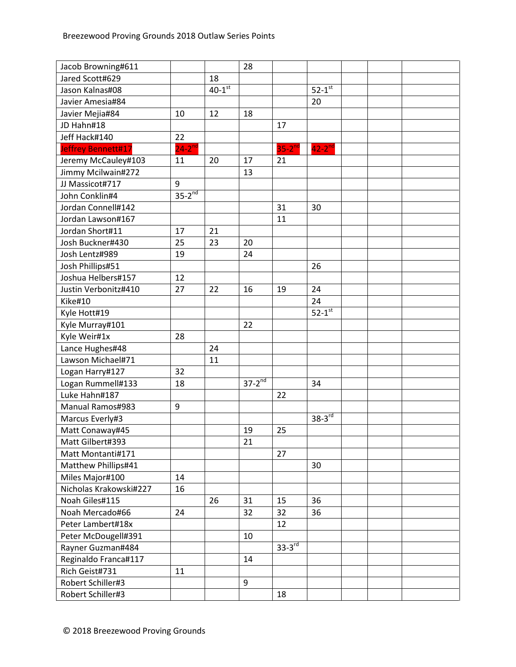| Jacob Browning#611     |             |                      | 28          |               |                      |  |  |
|------------------------|-------------|----------------------|-------------|---------------|----------------------|--|--|
| Jared Scott#629        |             | 18                   |             |               |                      |  |  |
| Jason Kalnas#08        |             | $40-1$ <sup>st</sup> |             |               | $52-1$ <sup>st</sup> |  |  |
| Javier Amesia#84       |             |                      |             |               | 20                   |  |  |
| Javier Mejia#84        | 10          | 12                   | 18          |               |                      |  |  |
| JD Hahn#18             |             |                      |             | 17            |                      |  |  |
| Jeff Hack#140          | 22          |                      |             |               |                      |  |  |
| Jeffrey Bennett#17     | $24-2^{nd}$ |                      |             | $35-2^{nd}$   | $42-2$ <sup>nd</sup> |  |  |
| Jeremy McCauley#103    | 11          | 20                   | 17          | 21            |                      |  |  |
| Jimmy Mcilwain#272     |             |                      | 13          |               |                      |  |  |
| JJ Massicot#717        | 9           |                      |             |               |                      |  |  |
| John Conklin#4         | $35-2^{nd}$ |                      |             |               |                      |  |  |
| Jordan Connell#142     |             |                      |             | 31            | 30                   |  |  |
| Jordan Lawson#167      |             |                      |             | 11            |                      |  |  |
| Jordan Short#11        | 17          | 21                   |             |               |                      |  |  |
| Josh Buckner#430       | 25          | 23                   | 20          |               |                      |  |  |
| Josh Lentz#989         | 19          |                      | 24          |               |                      |  |  |
| Josh Phillips#51       |             |                      |             |               | 26                   |  |  |
| Joshua Helbers#157     | 12          |                      |             |               |                      |  |  |
| Justin Verbonitz#410   | 27          | 22                   | 16          | 19            | 24                   |  |  |
| Kike#10                |             |                      |             |               | 24                   |  |  |
| Kyle Hott#19           |             |                      |             |               | $52-1$ <sup>st</sup> |  |  |
| Kyle Murray#101        |             |                      | 22          |               |                      |  |  |
| Kyle Weir#1x           | 28          |                      |             |               |                      |  |  |
| Lance Hughes#48        |             | 24                   |             |               |                      |  |  |
| Lawson Michael#71      |             | 11                   |             |               |                      |  |  |
| Logan Harry#127        | 32          |                      |             |               |                      |  |  |
| Logan Rummell#133      | 18          |                      | $37-2^{nd}$ |               | 34                   |  |  |
| Luke Hahn#187          |             |                      |             | 22            |                      |  |  |
| Manual Ramos#983       | 9           |                      |             |               |                      |  |  |
| Marcus Everly#3        |             |                      |             |               | $38-3^{rd}$          |  |  |
| Matt Conaway#45        |             |                      | 19          | 25            |                      |  |  |
| Matt Gilbert#393       |             |                      | 21          |               |                      |  |  |
| Matt Montanti#171      |             |                      |             | 27            |                      |  |  |
| Matthew Phillips#41    |             |                      |             |               | 30                   |  |  |
| Miles Major#100        | 14          |                      |             |               |                      |  |  |
| Nicholas Krakowski#227 | 16          |                      |             |               |                      |  |  |
| Noah Giles#115         |             | 26                   | 31          | 15            | 36                   |  |  |
| Noah Mercado#66        | 24          |                      | 32          | 32            | 36                   |  |  |
| Peter Lambert#18x      |             |                      |             | 12            |                      |  |  |
| Peter McDougell#391    |             |                      | 10          |               |                      |  |  |
| Rayner Guzman#484      |             |                      |             | $33 - 3^{rd}$ |                      |  |  |
| Reginaldo Franca#117   |             |                      | 14          |               |                      |  |  |
| Rich Geist#731         | 11          |                      |             |               |                      |  |  |
| Robert Schiller#3      |             |                      | 9           |               |                      |  |  |
| Robert Schiller#3      |             |                      |             | 18            |                      |  |  |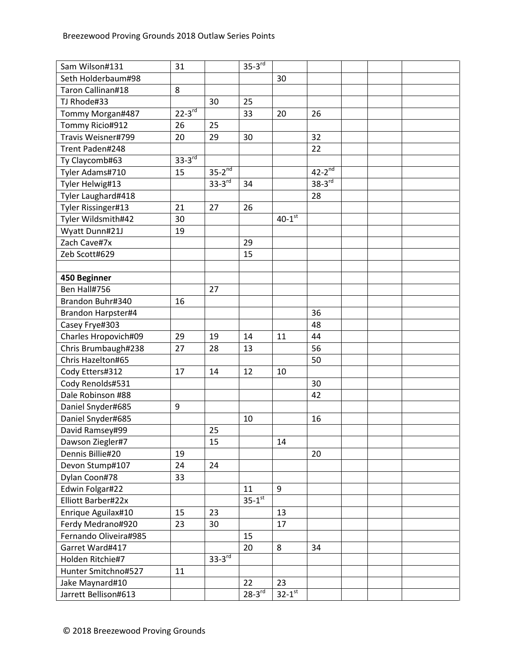| Sam Wilson#131            | 31            |               | $35-3^{rd}$          |                        |                      |  |  |
|---------------------------|---------------|---------------|----------------------|------------------------|----------------------|--|--|
| Seth Holderbaum#98        |               |               |                      | 30                     |                      |  |  |
| Taron Callinan#18         | 8             |               |                      |                        |                      |  |  |
| TJ Rhode#33               |               | 30            | 25                   |                        |                      |  |  |
| Tommy Morgan#487          | $22 - 3^{rd}$ |               | 33                   | 20                     | 26                   |  |  |
| Tommy Ricio#912           | 26            | 25            |                      |                        |                      |  |  |
| Travis Weisner#799        | 20            | 29            | 30                   |                        | 32                   |  |  |
| Trent Paden#248           |               |               |                      |                        | 22                   |  |  |
| Ty Claycomb#63            | $33-3^{rd}$   |               |                      |                        |                      |  |  |
| Tyler Adams#710           | 15            | $35-2^{nd}$   |                      |                        | $42-2^{nd}$          |  |  |
| Tyler Helwig#13           |               | $33 - 3^{rd}$ | 34                   |                        | $38-3$ <sup>rd</sup> |  |  |
| Tyler Laughard#418        |               |               |                      |                        | 28                   |  |  |
| Tyler Rissinger#13        | 21            | 27            | 26                   |                        |                      |  |  |
| Tyler Wildsmith#42        | 30            |               |                      | $40-1$ <sup>st</sup>   |                      |  |  |
| Wyatt Dunn#21J            | 19            |               |                      |                        |                      |  |  |
| Zach Cave#7x              |               |               | 29                   |                        |                      |  |  |
| Zeb Scott#629             |               |               | 15                   |                        |                      |  |  |
|                           |               |               |                      |                        |                      |  |  |
| 450 Beginner              |               |               |                      |                        |                      |  |  |
| Ben Hall#756              |               | 27            |                      |                        |                      |  |  |
| Brandon Buhr#340          | 16            |               |                      |                        |                      |  |  |
| <b>Brandon Harpster#4</b> |               |               |                      |                        | 36                   |  |  |
| Casey Frye#303            |               |               |                      |                        | 48                   |  |  |
| Charles Hropovich#09      | 29            | 19            | 14                   | 11                     | 44                   |  |  |
| Chris Brumbaugh#238       | 27            | 28            | 13                   |                        | 56                   |  |  |
| Chris Hazelton#65         |               |               |                      |                        | 50                   |  |  |
| Cody Etters#312           | 17            | 14            | 12                   | 10                     |                      |  |  |
| Cody Renolds#531          |               |               |                      |                        | 30                   |  |  |
| Dale Robinson #88         |               |               |                      |                        | 42                   |  |  |
| Daniel Snyder#685         | 9             |               |                      |                        |                      |  |  |
| Daniel Snyder#685         |               |               | 10                   |                        | 16                   |  |  |
| David Ramsey#99           |               | 25            |                      |                        |                      |  |  |
| Dawson Ziegler#7          |               | 15            |                      | 14                     |                      |  |  |
| Dennis Billie#20          | 19            |               |                      |                        | 20                   |  |  |
| Devon Stump#107           | 24            | 24            |                      |                        |                      |  |  |
| Dylan Coon#78             | 33            |               |                      |                        |                      |  |  |
| Edwin Folgar#22           |               |               | 11                   | 9                      |                      |  |  |
| Elliott Barber#22x        |               |               | $35-1$ <sup>st</sup> |                        |                      |  |  |
| Enrique Aguilax#10        | 15            | 23            |                      | 13                     |                      |  |  |
| Ferdy Medrano#920         | 23            | 30            |                      | 17                     |                      |  |  |
| Fernando Oliveira#985     |               |               | 15                   |                        |                      |  |  |
| Garret Ward#417           |               |               | 20                   | 8                      | 34                   |  |  |
| Holden Ritchie#7          |               | $33-3^{rd}$   |                      |                        |                      |  |  |
| Hunter Smitchno#527       | 11            |               |                      |                        |                      |  |  |
| Jake Maynard#10           |               |               | 22                   | 23                     |                      |  |  |
| Jarrett Bellison#613      |               |               | $28-3$ <sup>rd</sup> | $32 - 1$ <sup>st</sup> |                      |  |  |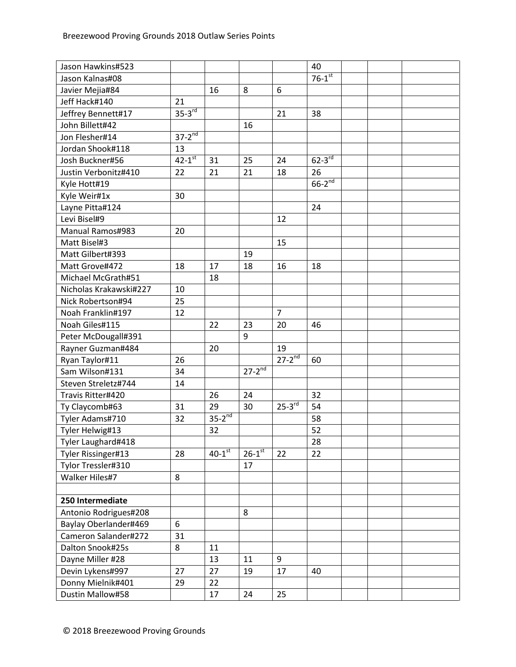| Jason Hawkins#523       |                          |                      |                        |                          | 40                     |  |  |
|-------------------------|--------------------------|----------------------|------------------------|--------------------------|------------------------|--|--|
| Jason Kalnas#08         |                          |                      |                        |                          | $76-1$ <sup>st</sup>   |  |  |
| Javier Mejia#84         |                          | 16                   | 8                      | 6                        |                        |  |  |
| Jeff Hack#140           | 21                       |                      |                        |                          |                        |  |  |
| Jeffrey Bennett#17      | $35-3$ <sup>rd</sup>     |                      |                        | 21                       | 38                     |  |  |
| John Billett#42         |                          |                      | 16                     |                          |                        |  |  |
| Jon Flesher#14          | $37 - 2^{\overline{nd}}$ |                      |                        |                          |                        |  |  |
| Jordan Shook#118        | 13                       |                      |                        |                          |                        |  |  |
| Josh Buckner#56         | $42 - 1$ <sup>st</sup>   | 31                   | 25                     | 24                       | $62 - 3$ <sup>rd</sup> |  |  |
| Justin Verbonitz#410    | 22                       | 21                   | 21                     | 18                       | 26                     |  |  |
| Kyle Hott#19            |                          |                      |                        |                          | $66-2^{nd}$            |  |  |
| Kyle Weir#1x            | 30                       |                      |                        |                          |                        |  |  |
| Layne Pitta#124         |                          |                      |                        |                          | 24                     |  |  |
| Levi Bisel#9            |                          |                      |                        | 12                       |                        |  |  |
| <b>Manual Ramos#983</b> | 20                       |                      |                        |                          |                        |  |  |
| Matt Bisel#3            |                          |                      |                        | 15                       |                        |  |  |
| Matt Gilbert#393        |                          |                      | 19                     |                          |                        |  |  |
| Matt Grove#472          | 18                       | 17                   | 18                     | 16                       | 18                     |  |  |
| Michael McGrath#51      |                          | 18                   |                        |                          |                        |  |  |
| Nicholas Krakawski#227  | 10                       |                      |                        |                          |                        |  |  |
| Nick Robertson#94       | 25                       |                      |                        |                          |                        |  |  |
| Noah Franklin#197       | 12                       |                      |                        | $\overline{7}$           |                        |  |  |
| Noah Giles#115          |                          | 22                   | 23                     | 20                       | 46                     |  |  |
| Peter McDougall#391     |                          |                      | 9                      |                          |                        |  |  |
| Rayner Guzman#484       |                          | 20                   |                        | 19                       |                        |  |  |
| Ryan Taylor#11          | 26                       |                      |                        | $27 - 2^{\overline{nd}}$ | 60                     |  |  |
| Sam Wilson#131          | 34                       |                      | $27 - 2^{nd}$          |                          |                        |  |  |
| Steven Streletz#744     | 14                       |                      |                        |                          |                        |  |  |
| Travis Ritter#420       |                          | 26                   | 24                     |                          | 32                     |  |  |
| Ty Claycomb#63          | 31                       | 29                   | 30                     | $25-3^{rd}$              | 54                     |  |  |
| Tyler Adams#710         | 32                       | $35-2^{nd}$          |                        |                          | 58                     |  |  |
| Tyler Helwig#13         |                          | 32                   |                        |                          | 52                     |  |  |
| Tyler Laughard#418      |                          |                      |                        |                          | 28                     |  |  |
| Tyler Rissinger#13      | 28                       | $40-1$ <sup>st</sup> | $26 - 1$ <sup>st</sup> | 22                       | 22                     |  |  |
| Tylor Tressler#310      |                          |                      | 17                     |                          |                        |  |  |
| Walker Hiles#7          | 8                        |                      |                        |                          |                        |  |  |
|                         |                          |                      |                        |                          |                        |  |  |
| 250 Intermediate        |                          |                      |                        |                          |                        |  |  |
| Antonio Rodrigues#208   |                          |                      | 8                      |                          |                        |  |  |
| Baylay Oberlander#469   | 6                        |                      |                        |                          |                        |  |  |
| Cameron Salander#272    | 31                       |                      |                        |                          |                        |  |  |
| Dalton Snook#25s        | 8                        | 11                   |                        |                          |                        |  |  |
| Dayne Miller #28        |                          | 13                   | 11                     | 9                        |                        |  |  |
| Devin Lykens#997        | 27                       | 27                   | 19                     | 17                       | 40                     |  |  |
| Donny Mielnik#401       | 29                       | 22                   |                        |                          |                        |  |  |
| Dustin Mallow#58        |                          | 17                   | 24                     | 25                       |                        |  |  |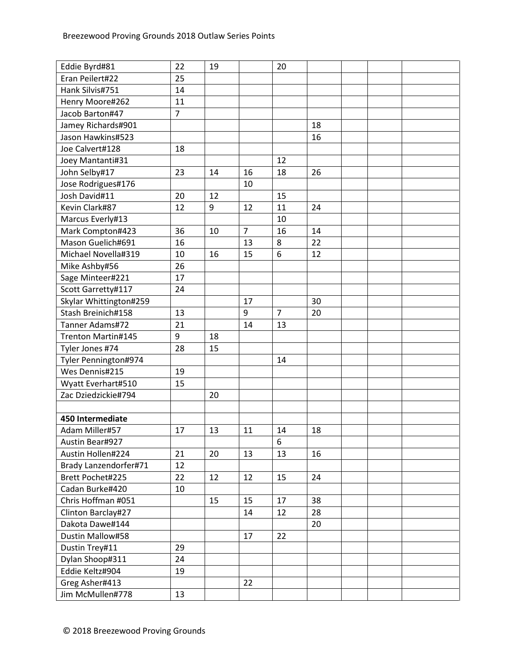| Eddie Byrd#81          | 22             | 19 |                | 20             |    |  |  |
|------------------------|----------------|----|----------------|----------------|----|--|--|
| Eran Peilert#22        | 25             |    |                |                |    |  |  |
| Hank Silvis#751        | 14             |    |                |                |    |  |  |
| Henry Moore#262        | 11             |    |                |                |    |  |  |
| Jacob Barton#47        | $\overline{7}$ |    |                |                |    |  |  |
| Jamey Richards#901     |                |    |                |                | 18 |  |  |
| Jason Hawkins#523      |                |    |                |                | 16 |  |  |
| Joe Calvert#128        | 18             |    |                |                |    |  |  |
| Joey Mantanti#31       |                |    |                | 12             |    |  |  |
| John Selby#17          | 23             | 14 | 16             | 18             | 26 |  |  |
| Jose Rodrigues#176     |                |    | 10             |                |    |  |  |
| Josh David#11          | 20             | 12 |                | 15             |    |  |  |
| Kevin Clark#87         | 12             | 9  | 12             | 11             | 24 |  |  |
| Marcus Everly#13       |                |    |                | 10             |    |  |  |
| Mark Compton#423       | 36             | 10 | $\overline{7}$ | 16             | 14 |  |  |
| Mason Guelich#691      | 16             |    | 13             | 8              | 22 |  |  |
| Michael Novella#319    | 10             | 16 | 15             | 6              | 12 |  |  |
| Mike Ashby#56          | 26             |    |                |                |    |  |  |
| Sage Minteer#221       | 17             |    |                |                |    |  |  |
| Scott Garretty#117     | 24             |    |                |                |    |  |  |
| Skylar Whittington#259 |                |    | 17             |                | 30 |  |  |
| Stash Breinich#158     | 13             |    | 9              | $\overline{7}$ | 20 |  |  |
| Tanner Adams#72        | 21             |    | 14             | 13             |    |  |  |
| Trenton Martin#145     | 9              | 18 |                |                |    |  |  |
| Tyler Jones #74        | 28             | 15 |                |                |    |  |  |
| Tyler Pennington#974   |                |    |                | 14             |    |  |  |
| Wes Dennis#215         | 19             |    |                |                |    |  |  |
| Wyatt Everhart#510     | 15             |    |                |                |    |  |  |
| Zac Dziedzickie#794    |                | 20 |                |                |    |  |  |
|                        |                |    |                |                |    |  |  |
| 450 Intermediate       |                |    |                |                |    |  |  |
| Adam Miller#57         | 17             | 13 | 11             | 14             | 18 |  |  |
| Austin Bear#927        |                |    |                | 6              |    |  |  |
| Austin Hollen#224      | 21             | 20 | 13             | 13             | 16 |  |  |
| Brady Lanzendorfer#71  | 12             |    |                |                |    |  |  |
| Brett Pochet#225       | 22             | 12 | 12             | 15             | 24 |  |  |
| Cadan Burke#420        | 10             |    |                |                |    |  |  |
| Chris Hoffman #051     |                | 15 | 15             | 17             | 38 |  |  |
| Clinton Barclay#27     |                |    | 14             | 12             | 28 |  |  |
| Dakota Dawe#144        |                |    |                |                | 20 |  |  |
| Dustin Mallow#58       |                |    | 17             | 22             |    |  |  |
| Dustin Trey#11         | 29             |    |                |                |    |  |  |
| Dylan Shoop#311        | 24             |    |                |                |    |  |  |
| Eddie Keltz#904        | 19             |    |                |                |    |  |  |
| Greg Asher#413         |                |    | 22             |                |    |  |  |
| Jim McMullen#778       | 13             |    |                |                |    |  |  |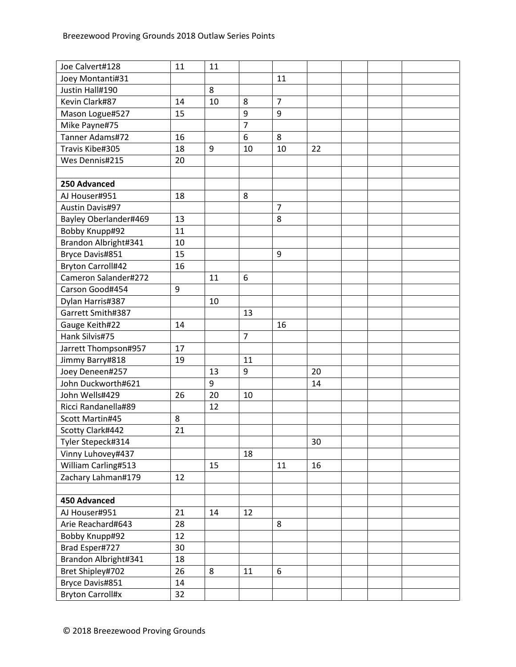| Joe Calvert#128          | 11 | 11 |                |                |    |  |  |
|--------------------------|----|----|----------------|----------------|----|--|--|
| Joey Montanti#31         |    |    |                | 11             |    |  |  |
| Justin Hall#190          |    | 8  |                |                |    |  |  |
| Kevin Clark#87           | 14 | 10 | 8              | $\overline{7}$ |    |  |  |
| Mason Logue#527          | 15 |    | 9              | 9              |    |  |  |
| Mike Payne#75            |    |    | $\overline{7}$ |                |    |  |  |
| Tanner Adams#72          | 16 |    | 6              | 8              |    |  |  |
| Travis Kibe#305          | 18 | 9  | 10             | 10             | 22 |  |  |
| Wes Dennis#215           | 20 |    |                |                |    |  |  |
|                          |    |    |                |                |    |  |  |
| 250 Advanced             |    |    |                |                |    |  |  |
| AJ Houser#951            | 18 |    | 8              |                |    |  |  |
| <b>Austin Davis#97</b>   |    |    |                | $\overline{7}$ |    |  |  |
| Bayley Oberlander#469    | 13 |    |                | 8              |    |  |  |
| Bobby Knupp#92           | 11 |    |                |                |    |  |  |
| Brandon Albright#341     | 10 |    |                |                |    |  |  |
| Bryce Davis#851          | 15 |    |                | 9              |    |  |  |
| <b>Bryton Carroll#42</b> | 16 |    |                |                |    |  |  |
| Cameron Salander#272     |    | 11 | 6              |                |    |  |  |
| Carson Good#454          | 9  |    |                |                |    |  |  |
| Dylan Harris#387         |    | 10 |                |                |    |  |  |
| Garrett Smith#387        |    |    | 13             |                |    |  |  |
| Gauge Keith#22           | 14 |    |                | 16             |    |  |  |
| Hank Silvis#75           |    |    | $\overline{7}$ |                |    |  |  |
| Jarrett Thompson#957     | 17 |    |                |                |    |  |  |
| Jimmy Barry#818          | 19 |    | 11             |                |    |  |  |
| Joey Deneen#257          |    | 13 | 9              |                | 20 |  |  |
| John Duckworth#621       |    | 9  |                |                | 14 |  |  |
| John Wells#429           | 26 | 20 | 10             |                |    |  |  |
| Ricci Randanella#89      |    | 12 |                |                |    |  |  |
| Scott Martin#45          | 8  |    |                |                |    |  |  |
| Scotty Clark#442         | 21 |    |                |                |    |  |  |
| Tyler Stepeck#314        |    |    |                |                | 30 |  |  |
| Vinny Luhovey#437        |    |    | 18             |                |    |  |  |
| William Carling#513      |    | 15 |                | 11             | 16 |  |  |
| Zachary Lahman#179       | 12 |    |                |                |    |  |  |
|                          |    |    |                |                |    |  |  |
| <b>450 Advanced</b>      |    |    |                |                |    |  |  |
| AJ Houser#951            | 21 | 14 | 12             |                |    |  |  |
| Arie Reachard#643        | 28 |    |                | 8              |    |  |  |
| Bobby Knupp#92           | 12 |    |                |                |    |  |  |
| Brad Esper#727           | 30 |    |                |                |    |  |  |
| Brandon Albright#341     | 18 |    |                |                |    |  |  |
| Bret Shipley#702         | 26 | 8  | 11             | 6              |    |  |  |
| Bryce Davis#851          | 14 |    |                |                |    |  |  |
| <b>Bryton Carroll#x</b>  | 32 |    |                |                |    |  |  |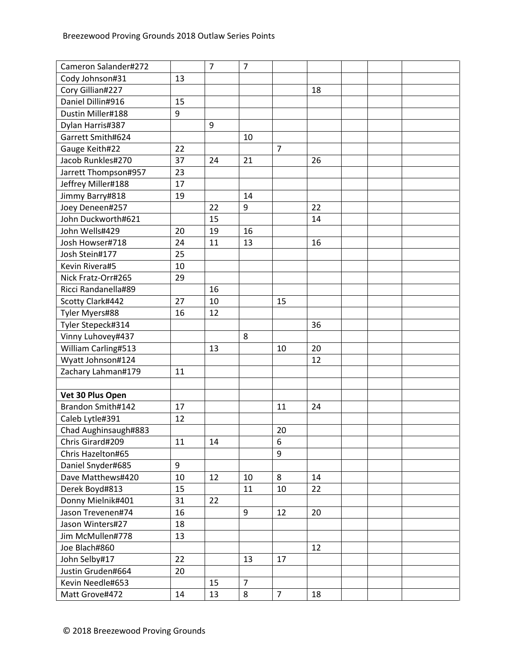| Cameron Salander#272 |    | $\overline{7}$ | $\overline{7}$ |                |    |  |  |
|----------------------|----|----------------|----------------|----------------|----|--|--|
| Cody Johnson#31      | 13 |                |                |                |    |  |  |
| Cory Gillian#227     |    |                |                |                | 18 |  |  |
| Daniel Dillin#916    | 15 |                |                |                |    |  |  |
| Dustin Miller#188    | 9  |                |                |                |    |  |  |
| Dylan Harris#387     |    | 9              |                |                |    |  |  |
| Garrett Smith#624    |    |                | 10             |                |    |  |  |
| Gauge Keith#22       | 22 |                |                | $\overline{7}$ |    |  |  |
| Jacob Runkles#270    | 37 | 24             | 21             |                | 26 |  |  |
| Jarrett Thompson#957 | 23 |                |                |                |    |  |  |
| Jeffrey Miller#188   | 17 |                |                |                |    |  |  |
| Jimmy Barry#818      | 19 |                | 14             |                |    |  |  |
| Joey Deneen#257      |    | 22             | 9              |                | 22 |  |  |
| John Duckworth#621   |    | 15             |                |                | 14 |  |  |
| John Wells#429       | 20 | 19             | 16             |                |    |  |  |
| Josh Howser#718      | 24 | 11             | 13             |                | 16 |  |  |
| Josh Stein#177       | 25 |                |                |                |    |  |  |
| Kevin Rivera#5       | 10 |                |                |                |    |  |  |
| Nick Fratz-Orr#265   | 29 |                |                |                |    |  |  |
| Ricci Randanella#89  |    | 16             |                |                |    |  |  |
| Scotty Clark#442     | 27 | 10             |                | 15             |    |  |  |
| Tyler Myers#88       | 16 | 12             |                |                |    |  |  |
| Tyler Stepeck#314    |    |                |                |                | 36 |  |  |
| Vinny Luhovey#437    |    |                | 8              |                |    |  |  |
| William Carling#513  |    | 13             |                | 10             | 20 |  |  |
| Wyatt Johnson#124    |    |                |                |                | 12 |  |  |
| Zachary Lahman#179   | 11 |                |                |                |    |  |  |
|                      |    |                |                |                |    |  |  |
| Vet 30 Plus Open     |    |                |                |                |    |  |  |
| Brandon Smith#142    | 17 |                |                | 11             | 24 |  |  |
| Caleb Lytle#391      | 12 |                |                |                |    |  |  |
| Chad Aughinsaugh#883 |    |                |                | 20             |    |  |  |
| Chris Girard#209     | 11 | 14             |                | 6              |    |  |  |
| Chris Hazelton#65    |    |                |                | 9              |    |  |  |
| Daniel Snyder#685    | 9  |                |                |                |    |  |  |
| Dave Matthews#420    | 10 | 12             | 10             | 8              | 14 |  |  |
| Derek Boyd#813       | 15 |                | 11             | 10             | 22 |  |  |
| Donny Mielnik#401    | 31 | 22             |                |                |    |  |  |
| Jason Trevenen#74    | 16 |                | 9              | 12             | 20 |  |  |
| Jason Winters#27     | 18 |                |                |                |    |  |  |
| Jim McMullen#778     | 13 |                |                |                |    |  |  |
| Joe Blach#860        |    |                |                |                | 12 |  |  |
| John Selby#17        | 22 |                | 13             | 17             |    |  |  |
| Justin Gruden#664    | 20 |                |                |                |    |  |  |
| Kevin Needle#653     |    | 15             | $\overline{7}$ |                |    |  |  |
| Matt Grove#472       | 14 | 13             | 8              | $\overline{7}$ | 18 |  |  |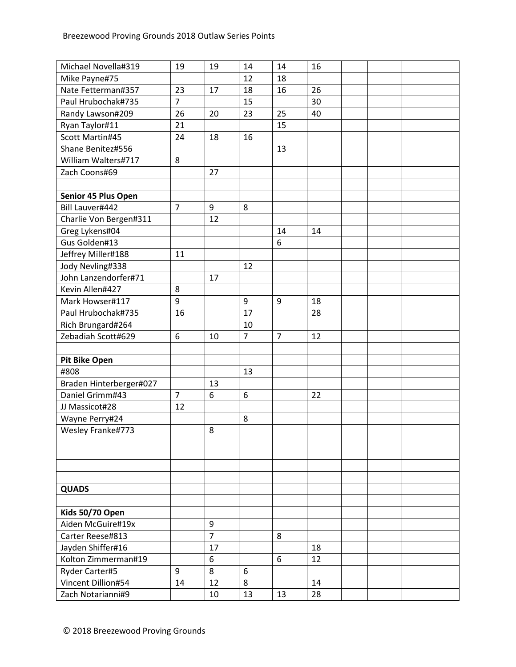| Michael Novella#319     | 19             | 19             | 14             | 14             | 16 |  |  |
|-------------------------|----------------|----------------|----------------|----------------|----|--|--|
| Mike Payne#75           |                |                | 12             | 18             |    |  |  |
| Nate Fetterman#357      | 23             | 17             | 18             | 16             | 26 |  |  |
| Paul Hrubochak#735      | $\overline{7}$ |                | 15             |                | 30 |  |  |
| Randy Lawson#209        | 26             | 20             | 23             | 25             | 40 |  |  |
| Ryan Taylor#11          | 21             |                |                | 15             |    |  |  |
| Scott Martin#45         | 24             | 18             | 16             |                |    |  |  |
| Shane Benitez#556       |                |                |                | 13             |    |  |  |
| William Walters#717     | 8              |                |                |                |    |  |  |
| Zach Coons#69           |                | 27             |                |                |    |  |  |
|                         |                |                |                |                |    |  |  |
| Senior 45 Plus Open     |                |                |                |                |    |  |  |
| Bill Lauver#442         | $\overline{7}$ | 9              | 8              |                |    |  |  |
| Charlie Von Bergen#311  |                | 12             |                |                |    |  |  |
| Greg Lykens#04          |                |                |                | 14             | 14 |  |  |
| Gus Golden#13           |                |                |                | 6              |    |  |  |
| Jeffrey Miller#188      | 11             |                |                |                |    |  |  |
| Jody Nevling#338        |                |                | 12             |                |    |  |  |
| John Lanzendorfer#71    |                | 17             |                |                |    |  |  |
| Kevin Allen#427         | 8              |                |                |                |    |  |  |
| Mark Howser#117         | 9              |                | 9              | 9              | 18 |  |  |
| Paul Hrubochak#735      | 16             |                | 17             |                | 28 |  |  |
| Rich Brungard#264       |                |                | 10             |                |    |  |  |
| Zebadiah Scott#629      | 6              | 10             | $\overline{7}$ | $\overline{7}$ | 12 |  |  |
|                         |                |                |                |                |    |  |  |
| <b>Pit Bike Open</b>    |                |                |                |                |    |  |  |
| #808                    |                |                | 13             |                |    |  |  |
| Braden Hinterberger#027 |                | 13             |                |                |    |  |  |
| Daniel Grimm#43         | $\overline{7}$ | 6              | 6              |                | 22 |  |  |
| JJ Massicot#28          | 12             |                |                |                |    |  |  |
| Wayne Perry#24          |                |                | 8              |                |    |  |  |
| Wesley Franke#773       |                | 8              |                |                |    |  |  |
|                         |                |                |                |                |    |  |  |
|                         |                |                |                |                |    |  |  |
|                         |                |                |                |                |    |  |  |
|                         |                |                |                |                |    |  |  |
| <b>QUADS</b>            |                |                |                |                |    |  |  |
|                         |                |                |                |                |    |  |  |
| Kids 50/70 Open         |                |                |                |                |    |  |  |
| Aiden McGuire#19x       |                | 9              |                |                |    |  |  |
| Carter Reese#813        |                | $\overline{7}$ |                | 8              |    |  |  |
| Jayden Shiffer#16       |                | 17             |                |                | 18 |  |  |
| Kolton Zimmerman#19     |                | 6              |                | 6              | 12 |  |  |
| Ryder Carter#5          | 9              | 8              | 6              |                |    |  |  |
| Vincent Dillion#54      | 14             | 12             | 8              |                | 14 |  |  |
| Zach Notarianni#9       |                | 10             | 13             | 13             | 28 |  |  |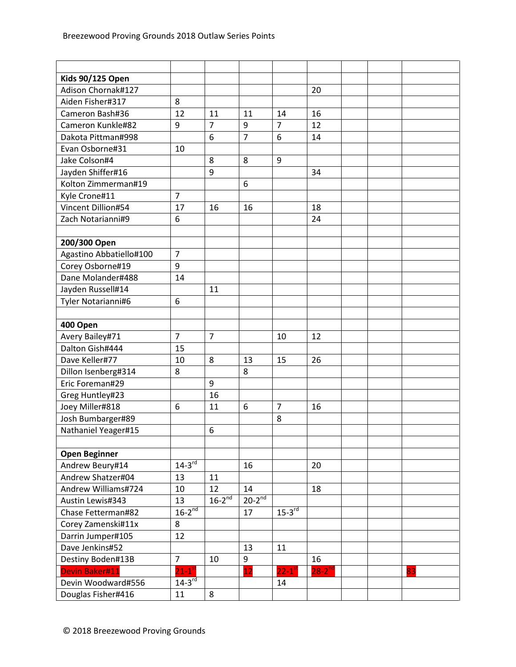| <b>Kids 90/125 Open</b> |                      |                |                |                      |             |  |    |
|-------------------------|----------------------|----------------|----------------|----------------------|-------------|--|----|
| Adison Chornak#127      |                      |                |                |                      | 20          |  |    |
| Aiden Fisher#317        | 8                    |                |                |                      |             |  |    |
| Cameron Bash#36         | 12                   | 11             | 11             | 14                   | 16          |  |    |
| Cameron Kunkle#82       | 9                    | $\overline{7}$ | 9              | $\overline{7}$       | 12          |  |    |
| Dakota Pittman#998      |                      | 6              | $\overline{7}$ | 6                    | 14          |  |    |
| Evan Osborne#31         | 10                   |                |                |                      |             |  |    |
| Jake Colson#4           |                      | 8              | 8              | 9                    |             |  |    |
| Jayden Shiffer#16       |                      | 9              |                |                      | 34          |  |    |
| Kolton Zimmerman#19     |                      |                | 6              |                      |             |  |    |
| Kyle Crone#11           | $\overline{7}$       |                |                |                      |             |  |    |
| Vincent Dillion#54      | 17                   | 16             | 16             |                      | 18          |  |    |
| Zach Notarianni#9       | 6                    |                |                |                      | 24          |  |    |
|                         |                      |                |                |                      |             |  |    |
| 200/300 Open            |                      |                |                |                      |             |  |    |
| Agastino Abbatiello#100 | $\overline{7}$       |                |                |                      |             |  |    |
| Corey Osborne#19        | 9                    |                |                |                      |             |  |    |
| Dane Molander#488       | 14                   |                |                |                      |             |  |    |
| Jayden Russell#14       |                      | 11             |                |                      |             |  |    |
| Tyler Notarianni#6      | 6                    |                |                |                      |             |  |    |
|                         |                      |                |                |                      |             |  |    |
| 400 Open                |                      |                |                |                      |             |  |    |
| Avery Bailey#71         | $\overline{7}$       | $\overline{7}$ |                | 10                   | 12          |  |    |
| Dalton Gish#444         | 15                   |                |                |                      |             |  |    |
| Dave Keller#77          | 10                   | 8              | 13             | 15                   | 26          |  |    |
| Dillon Isenberg#314     | 8                    |                | 8              |                      |             |  |    |
| Eric Foreman#29         |                      | 9              |                |                      |             |  |    |
| Greg Huntley#23         |                      | 16             |                |                      |             |  |    |
| Joey Miller#818         | 6                    | 11             | 6              | $\overline{7}$       | 16          |  |    |
| Josh Bumbarger#89       |                      |                |                | 8                    |             |  |    |
| Nathaniel Yeager#15     |                      | 6              |                |                      |             |  |    |
|                         |                      |                |                |                      |             |  |    |
| <b>Open Beginner</b>    |                      |                |                |                      |             |  |    |
| Andrew Beury#14         | $14-3^{rd}$          |                | 16             |                      | 20          |  |    |
| Andrew Shatzer#04       | 13                   | 11             |                |                      |             |  |    |
| Andrew Williams#724     | 10                   | 12             | 14             |                      | 18          |  |    |
| Austin Lewis#343        | 13                   | $16-2^{nd}$    | $20-2^{nd}$    |                      |             |  |    |
| Chase Fetterman#82      | $16-2^{nd}$          |                | 17             | $15-3^{rd}$          |             |  |    |
| Corey Zamenski#11x      | 8                    |                |                |                      |             |  |    |
| Darrin Jumper#105       | 12                   |                |                |                      |             |  |    |
| Dave Jenkins#52         |                      |                | 13             | 11                   |             |  |    |
| Destiny Boden#13B       | $\overline{7}$       | 10             | 9              |                      | 16          |  |    |
| Devin Baker#11          | $21-1$ <sup>st</sup> |                | 12             | $22-1$ <sup>st</sup> | $28-2^{nd}$ |  | 83 |
| Devin Woodward#556      | $14-3^{rd}$          |                |                | 14                   |             |  |    |
| Douglas Fisher#416      | 11                   | 8              |                |                      |             |  |    |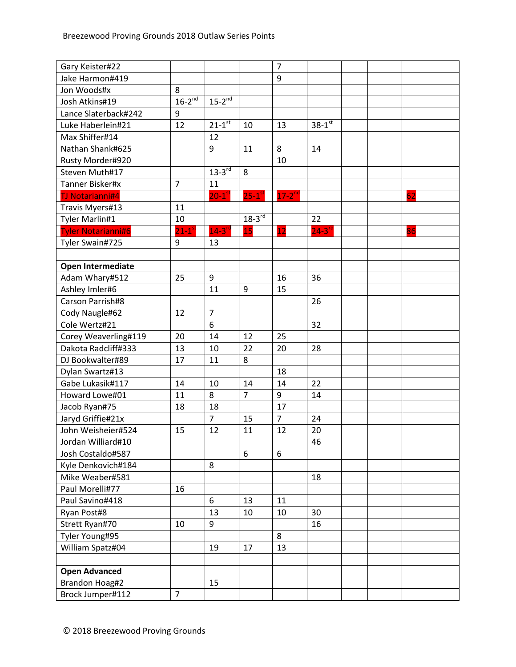| Gary Keister#22           |                |                        |                      | $\overline{7}$ |                      |  |    |
|---------------------------|----------------|------------------------|----------------------|----------------|----------------------|--|----|
| Jake Harmon#419           |                |                        |                      | 9              |                      |  |    |
| Jon Woods#x               | 8              |                        |                      |                |                      |  |    |
| Josh Atkins#19            | $16-2^{nd}$    | $15-2^{nd}$            |                      |                |                      |  |    |
| Lance Slaterback#242      | 9              |                        |                      |                |                      |  |    |
| Luke Haberlein#21         | 12             | $21 - 1^{st}$          | 10                   | 13             | $38-1$ <sup>st</sup> |  |    |
| Max Shiffer#14            |                | 12                     |                      |                |                      |  |    |
| Nathan Shank#625          |                | 9                      | 11                   | 8              | 14                   |  |    |
| Rusty Morder#920          |                |                        |                      | 10             |                      |  |    |
| Steven Muth#17            |                | $13-3^{rd}$            | 8                    |                |                      |  |    |
| Tanner Bisker#x           | $\overline{7}$ | 11                     |                      |                |                      |  |    |
| <b>TJ Notarianni#4</b>    |                | $20 - 1$ <sup>st</sup> | $25-1$ <sup>st</sup> | $17-2^{nd}$    |                      |  | 62 |
| Travis Myers#13           | 11             |                        |                      |                |                      |  |    |
| Tyler Marlin#1            | 10             |                        | $18-3^{rd}$          |                | 22                   |  |    |
| <b>Tyler Notarianni#6</b> | $21 - 1^s$     | $14-3$ <sup>rd</sup>   | 15                   | 12             | $24 - 3^{rd}$        |  | 86 |
| Tyler Swain#725           | $9\,$          | 13                     |                      |                |                      |  |    |
|                           |                |                        |                      |                |                      |  |    |
| Open Intermediate         |                |                        |                      |                |                      |  |    |
| Adam Whary#512            | 25             | 9                      |                      | 16             | 36                   |  |    |
| Ashley Imler#6            |                | 11                     | 9                    | 15             |                      |  |    |
| Carson Parrish#8          |                |                        |                      |                | 26                   |  |    |
| Cody Naugle#62            | 12             | $\overline{7}$         |                      |                |                      |  |    |
| Cole Wertz#21             |                | 6                      |                      |                | 32                   |  |    |
| Corey Weaverling#119      | 20             | 14                     | 12                   | 25             |                      |  |    |
| Dakota Radcliff#333       | 13             | 10                     | 22                   | 20             | 28                   |  |    |
| DJ Bookwalter#89          | 17             | 11                     | 8                    |                |                      |  |    |
| Dylan Swartz#13           |                |                        |                      | 18             |                      |  |    |
| Gabe Lukasik#117          | 14             | 10                     | 14                   | 14             | 22                   |  |    |
| Howard Lowe#01            | 11             | 8                      | $\overline{7}$       | 9              | 14                   |  |    |
| Jacob Ryan#75             | 18             | 18                     |                      | 17             |                      |  |    |
| Jaryd Griffie#21x         |                | $\overline{7}$         | 15                   | $\overline{7}$ | 24                   |  |    |
| John Weisheier#524        | 15             | 12                     | 11                   | 12             | 20                   |  |    |
| Jordan Williard#10        |                |                        |                      |                | 46                   |  |    |
| Josh Costaldo#587         |                |                        | 6                    | 6              |                      |  |    |
| Kyle Denkovich#184        |                | 8                      |                      |                |                      |  |    |
| Mike Weaber#581           |                |                        |                      |                | 18                   |  |    |
| Paul Morelli#77           | 16             |                        |                      |                |                      |  |    |
| Paul Savino#418           |                | 6                      | 13                   | 11             |                      |  |    |
| Ryan Post#8               |                | 13                     | 10                   | 10             | 30                   |  |    |
| Strett Ryan#70            | 10             | 9                      |                      |                | 16                   |  |    |
| Tyler Young#95            |                |                        |                      | 8              |                      |  |    |
| William Spatz#04          |                | 19                     | 17                   | 13             |                      |  |    |
|                           |                |                        |                      |                |                      |  |    |
| <b>Open Advanced</b>      |                |                        |                      |                |                      |  |    |
| Brandon Hoag#2            |                | 15                     |                      |                |                      |  |    |
| Brock Jumper#112          | $\overline{7}$ |                        |                      |                |                      |  |    |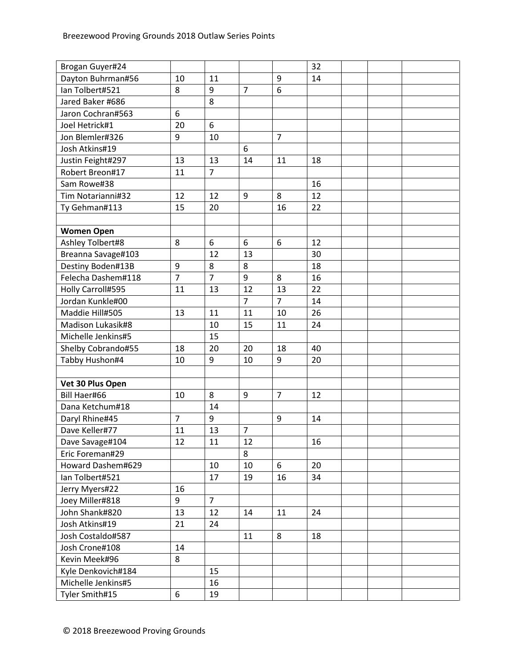| Brogan Guyer#24     |                |                |                |                | 32 |  |  |
|---------------------|----------------|----------------|----------------|----------------|----|--|--|
| Dayton Buhrman#56   | 10             | 11             |                | 9              | 14 |  |  |
| Ian Tolbert#521     | 8              | 9              | $\overline{7}$ | 6              |    |  |  |
| Jared Baker #686    |                | 8              |                |                |    |  |  |
| Jaron Cochran#563   | 6              |                |                |                |    |  |  |
| Joel Hetrick#1      | 20             | 6              |                |                |    |  |  |
| Jon Blemler#326     | 9              | 10             |                | $\overline{7}$ |    |  |  |
| Josh Atkins#19      |                |                | 6              |                |    |  |  |
| Justin Feight#297   | 13             | 13             | 14             | 11             | 18 |  |  |
| Robert Breon#17     | 11             | $\overline{7}$ |                |                |    |  |  |
| Sam Rowe#38         |                |                |                |                | 16 |  |  |
| Tim Notarianni#32   | 12             | 12             | 9              | 8              | 12 |  |  |
| Ty Gehman#113       | 15             | 20             |                | 16             | 22 |  |  |
|                     |                |                |                |                |    |  |  |
| <b>Women Open</b>   |                |                |                |                |    |  |  |
| Ashley Tolbert#8    | 8              | 6              | 6              | 6              | 12 |  |  |
| Breanna Savage#103  |                | 12             | 13             |                | 30 |  |  |
| Destiny Boden#13B   | 9              | 8              | 8              |                | 18 |  |  |
| Felecha Dashem#118  | $\overline{7}$ | $\overline{7}$ | 9              | 8              | 16 |  |  |
| Holly Carroll#595   | 11             | 13             | 12             | 13             | 22 |  |  |
| Jordan Kunkle#00    |                |                | $\overline{7}$ | $\overline{7}$ | 14 |  |  |
| Maddie Hill#505     | 13             | 11             | 11             | 10             | 26 |  |  |
| Madison Lukasik#8   |                | 10             | 15             | 11             | 24 |  |  |
| Michelle Jenkins#5  |                | 15             |                |                |    |  |  |
| Shelby Cobrando#55  | 18             | 20             | 20             | 18             | 40 |  |  |
| Tabby Hushon#4      | 10             | 9              | 10             | 9              | 20 |  |  |
|                     |                |                |                |                |    |  |  |
| Vet 30 Plus Open    |                |                |                |                |    |  |  |
| <b>Bill Haer#66</b> | 10             | 8              | 9              | $\overline{7}$ | 12 |  |  |
| Dana Ketchum#18     |                | 14             |                |                |    |  |  |
| Daryl Rhine#45      | $\overline{7}$ | 9              |                | 9              | 14 |  |  |
| Dave Keller#77      | 11             | 13             | $\overline{7}$ |                |    |  |  |
| Dave Savage#104     | 12             | 11             | 12             |                | 16 |  |  |
| Eric Foreman#29     |                |                | 8              |                |    |  |  |
| Howard Dashem#629   |                | 10             | 10             | 6              | 20 |  |  |
| Ian Tolbert#521     |                | 17             | 19             | 16             | 34 |  |  |
| Jerry Myers#22      | 16             |                |                |                |    |  |  |
| Joey Miller#818     | 9              | $\overline{7}$ |                |                |    |  |  |
| John Shank#820      | 13             | 12             | 14             | 11             | 24 |  |  |
| Josh Atkins#19      | 21             | 24             |                |                |    |  |  |
| Josh Costaldo#587   |                |                | 11             | 8              | 18 |  |  |
| Josh Crone#108      | 14             |                |                |                |    |  |  |
| Kevin Meek#96       | 8              |                |                |                |    |  |  |
| Kyle Denkovich#184  |                | 15             |                |                |    |  |  |
| Michelle Jenkins#5  |                | 16             |                |                |    |  |  |
| Tyler Smith#15      | 6              | 19             |                |                |    |  |  |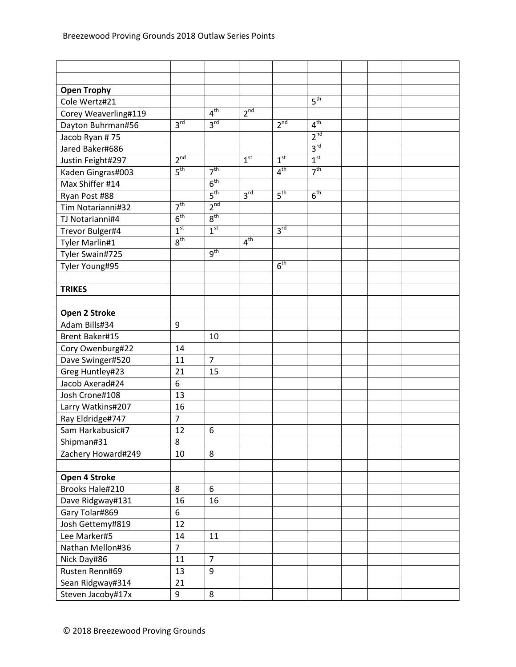| <b>Open Trophy</b>   |                 |                 |                 |                 |                 |  |  |
|----------------------|-----------------|-----------------|-----------------|-----------------|-----------------|--|--|
| Cole Wertz#21        |                 |                 |                 |                 | 5 <sup>th</sup> |  |  |
| Corey Weaverling#119 |                 | 4 <sup>th</sup> | 2 <sup>nd</sup> |                 |                 |  |  |
| Dayton Buhrman#56    | 3 <sup>rd</sup> | 3 <sup>rd</sup> |                 | 2 <sup>nd</sup> | 4 <sup>th</sup> |  |  |
| Jacob Ryan #75       |                 |                 |                 |                 | 2 <sup>nd</sup> |  |  |
| Jared Baker#686      |                 |                 |                 |                 | 3 <sup>rd</sup> |  |  |
| Justin Feight#297    | 2 <sup>nd</sup> |                 | 1 <sup>st</sup> | 1 <sup>st</sup> | 1 <sup>st</sup> |  |  |
| Kaden Gingras#003    | 5 <sup>th</sup> | 7 <sup>th</sup> |                 | 4 <sup>th</sup> | 7 <sup>th</sup> |  |  |
| Max Shiffer #14      |                 | 6 <sup>th</sup> |                 |                 |                 |  |  |
| Ryan Post #88        |                 | 5 <sup>th</sup> | 3 <sup>rd</sup> | 5 <sup>th</sup> | 6 <sup>th</sup> |  |  |
| Tim Notarianni#32    | 7 <sup>th</sup> | 2 <sup>nd</sup> |                 |                 |                 |  |  |
| TJ Notarianni#4      | 6 <sup>th</sup> | $8^{\text{th}}$ |                 |                 |                 |  |  |
| Trevor Bulger#4      | 1 <sup>st</sup> | 1 <sup>st</sup> |                 | 3 <sup>rd</sup> |                 |  |  |
| Tyler Marlin#1       | 8 <sup>th</sup> |                 | 4 <sup>th</sup> |                 |                 |  |  |
| Tyler Swain#725      |                 | 9 <sup>th</sup> |                 |                 |                 |  |  |
| Tyler Young#95       |                 |                 |                 | 6 <sup>th</sup> |                 |  |  |
|                      |                 |                 |                 |                 |                 |  |  |
| <b>TRIKES</b>        |                 |                 |                 |                 |                 |  |  |
|                      |                 |                 |                 |                 |                 |  |  |
| Open 2 Stroke        |                 |                 |                 |                 |                 |  |  |
| Adam Bills#34        | 9               |                 |                 |                 |                 |  |  |
| Brent Baker#15       |                 | 10              |                 |                 |                 |  |  |
| Cory Owenburg#22     | 14              |                 |                 |                 |                 |  |  |
| Dave Swinger#520     | 11              | $\overline{7}$  |                 |                 |                 |  |  |
| Greg Huntley#23      | 21              | 15              |                 |                 |                 |  |  |
| Jacob Axerad#24      | 6               |                 |                 |                 |                 |  |  |
| Josh Crone#108       | 13              |                 |                 |                 |                 |  |  |
| Larry Watkins#207    | 16              |                 |                 |                 |                 |  |  |
| Ray Eldridge#747     | $\overline{7}$  |                 |                 |                 |                 |  |  |
| Sam Harkabusic#7     | 12              | 6               |                 |                 |                 |  |  |
| Shipman#31           | 8               |                 |                 |                 |                 |  |  |
| Zachery Howard#249   | 10              | 8               |                 |                 |                 |  |  |
|                      |                 |                 |                 |                 |                 |  |  |
| Open 4 Stroke        |                 |                 |                 |                 |                 |  |  |
| Brooks Hale#210      | 8               | 6               |                 |                 |                 |  |  |
| Dave Ridgway#131     | 16              | 16              |                 |                 |                 |  |  |
| Gary Tolar#869       | 6               |                 |                 |                 |                 |  |  |
| Josh Gettemy#819     | 12              |                 |                 |                 |                 |  |  |
| Lee Marker#5         | 14              | 11              |                 |                 |                 |  |  |
| Nathan Mellon#36     | $\overline{7}$  |                 |                 |                 |                 |  |  |
| Nick Day#86          | 11              | $\overline{7}$  |                 |                 |                 |  |  |
| Rusten Renn#69       | 13              | 9               |                 |                 |                 |  |  |
| Sean Ridgway#314     | 21              |                 |                 |                 |                 |  |  |
| Steven Jacoby#17x    | 9               | 8               |                 |                 |                 |  |  |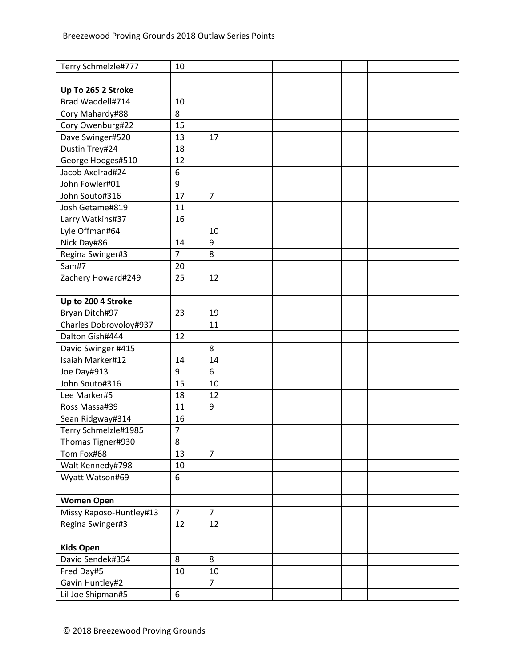| Terry Schmelzle#777     | 10             |                |  |  |  |
|-------------------------|----------------|----------------|--|--|--|
|                         |                |                |  |  |  |
| Up To 265 2 Stroke      |                |                |  |  |  |
| Brad Waddell#714        | 10             |                |  |  |  |
| Cory Mahardy#88         | 8              |                |  |  |  |
| Cory Owenburg#22        | 15             |                |  |  |  |
| Dave Swinger#520        | 13             | 17             |  |  |  |
| Dustin Trey#24          | 18             |                |  |  |  |
| George Hodges#510       | 12             |                |  |  |  |
| Jacob Axelrad#24        | 6              |                |  |  |  |
| John Fowler#01          | 9              |                |  |  |  |
| John Souto#316          | 17             | $\overline{7}$ |  |  |  |
| Josh Getame#819         | 11             |                |  |  |  |
| Larry Watkins#37        | 16             |                |  |  |  |
| Lyle Offman#64          |                | 10             |  |  |  |
| Nick Day#86             | 14             | 9              |  |  |  |
| Regina Swinger#3        | $\overline{7}$ | 8              |  |  |  |
| Sam#7                   | 20             |                |  |  |  |
| Zachery Howard#249      | 25             | 12             |  |  |  |
|                         |                |                |  |  |  |
| Up to 200 4 Stroke      |                |                |  |  |  |
| Bryan Ditch#97          | 23             | 19             |  |  |  |
| Charles Dobrovoloy#937  |                | 11             |  |  |  |
| Dalton Gish#444         | 12             |                |  |  |  |
| David Swinger #415      |                | 8              |  |  |  |
| Isaiah Marker#12        | 14             | 14             |  |  |  |
| Joe Day#913             | 9              | 6              |  |  |  |
| John Souto#316          | 15             | 10             |  |  |  |
| Lee Marker#5            | 18             | 12             |  |  |  |
| Ross Massa#39           | 11             | 9              |  |  |  |
| Sean Ridgway#314        | 16             |                |  |  |  |
| Terry Schmelzle#1985    | $\overline{7}$ |                |  |  |  |
| Thomas Tigner#930       | 8              |                |  |  |  |
| Tom Fox#68              | 13             | $\overline{7}$ |  |  |  |
| Walt Kennedy#798        | 10             |                |  |  |  |
| Wyatt Watson#69         | 6              |                |  |  |  |
|                         |                |                |  |  |  |
| <b>Women Open</b>       |                |                |  |  |  |
| Missy Raposo-Huntley#13 | $\overline{7}$ | $\overline{7}$ |  |  |  |
| Regina Swinger#3        | 12             | 12             |  |  |  |
|                         |                |                |  |  |  |
| <b>Kids Open</b>        |                |                |  |  |  |
| David Sendek#354        | 8              | 8              |  |  |  |
| Fred Day#5              | 10             | 10             |  |  |  |
| Gavin Huntley#2         |                | $\overline{7}$ |  |  |  |
| Lil Joe Shipman#5       | 6              |                |  |  |  |